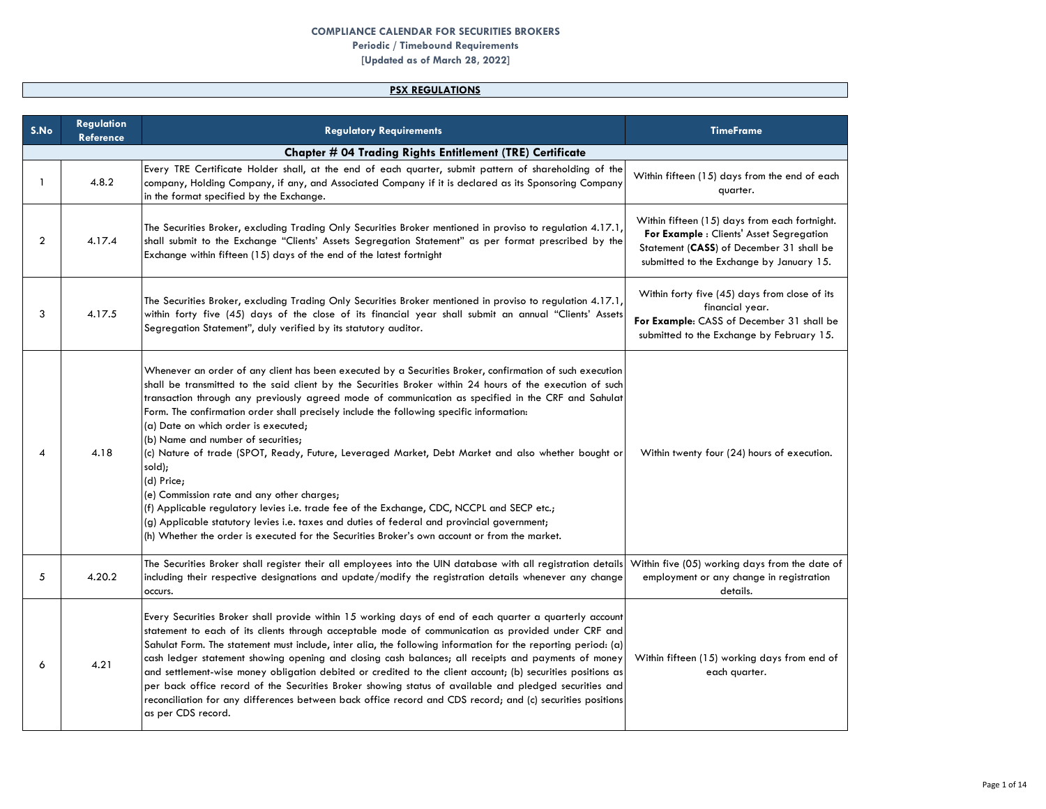### **COMPLIANCE CALENDAR FOR SECURITIES BROKERS**

# **Periodic / Timebound Requirements**

**[Updated as of March 28, 2022]**

## **PSX REGULATIONS**

| S.No           | <b>Regulation</b><br><b>Reference</b> | <b>Regulatory Requirements</b>                                                                                                                                                                                                                                                                                                                                                                                                                                                                                                                                                                                                                                                                                                                                                                                                                                                                                                                                                   | <b>TimeFrame</b>                                                                                                                                                                  |
|----------------|---------------------------------------|----------------------------------------------------------------------------------------------------------------------------------------------------------------------------------------------------------------------------------------------------------------------------------------------------------------------------------------------------------------------------------------------------------------------------------------------------------------------------------------------------------------------------------------------------------------------------------------------------------------------------------------------------------------------------------------------------------------------------------------------------------------------------------------------------------------------------------------------------------------------------------------------------------------------------------------------------------------------------------|-----------------------------------------------------------------------------------------------------------------------------------------------------------------------------------|
|                |                                       | <b>Chapter # 04 Trading Rights Entitlement (TRE) Certificate</b>                                                                                                                                                                                                                                                                                                                                                                                                                                                                                                                                                                                                                                                                                                                                                                                                                                                                                                                 |                                                                                                                                                                                   |
| $\mathbf{1}$   | 4.8.2                                 | Every TRE Certificate Holder shall, at the end of each quarter, submit pattern of shareholding of the<br>company, Holding Company, if any, and Associated Company if it is declared as its Sponsoring Company<br>in the format specified by the Exchange.                                                                                                                                                                                                                                                                                                                                                                                                                                                                                                                                                                                                                                                                                                                        | Within fifteen (15) days from the end of each<br>quarter.                                                                                                                         |
| $\overline{2}$ | 4.17.4                                | The Securities Broker, excluding Trading Only Securities Broker mentioned in proviso to regulation 4.17.1,<br>shall submit to the Exchange "Clients' Assets Segregation Statement" as per format prescribed by the<br>Exchange within fifteen (15) days of the end of the latest fortnight                                                                                                                                                                                                                                                                                                                                                                                                                                                                                                                                                                                                                                                                                       | Within fifteen (15) days from each fortnight.<br>For Example : Clients' Asset Segregation<br>Statement (CASS) of December 31 shall be<br>submitted to the Exchange by January 15. |
| 3              | 4.17.5                                | The Securities Broker, excluding Trading Only Securities Broker mentioned in proviso to regulation 4.17.1,<br>within forty five (45) days of the close of its financial year shall submit an annual "Clients' Assets<br>Segregation Statement", duly verified by its statutory auditor.                                                                                                                                                                                                                                                                                                                                                                                                                                                                                                                                                                                                                                                                                          | Within forty five (45) days from close of its<br>financial year.<br>For Example: CASS of December 31 shall be<br>submitted to the Exchange by February 15.                        |
| 4              | 4.18                                  | Whenever an order of any client has been executed by a Securities Broker, confirmation of such execution<br>shall be transmitted to the said client by the Securities Broker within 24 hours of the execution of such<br>transaction through any previously agreed mode of communication as specified in the CRF and Sahulat<br>Form. The confirmation order shall precisely include the following specific information:<br>(a) Date on which order is executed;<br>(b) Name and number of securities;<br>(c) Nature of trade (SPOT, Ready, Future, Leveraged Market, Debt Market and also whether bought or<br>sold);<br>(d) Price;<br>(e) Commission rate and any other charges;<br>(f) Applicable regulatory levies i.e. trade fee of the Exchange, CDC, NCCPL and SECP etc.;<br>(g) Applicable statutory levies i.e. taxes and duties of federal and provincial government;<br>(h) Whether the order is executed for the Securities Broker's own account or from the market. | Within twenty four (24) hours of execution.                                                                                                                                       |
| 5              | 4.20.2                                | The Securities Broker shall register their all employees into the UIN database with all registration details Within five (05) working days from the date of<br>including their respective designations and update/modify the registration details whenever any change<br>occurs.                                                                                                                                                                                                                                                                                                                                                                                                                                                                                                                                                                                                                                                                                                 | employment or any change in registration<br>details.                                                                                                                              |
| 6              | 4.21                                  | Every Securities Broker shall provide within 15 working days of end of each quarter a quarterly account<br>statement to each of its clients through acceptable mode of communication as provided under CRF and<br>Sahulat Form. The statement must include, inter alia, the following information for the reporting period: (a)<br>cash ledger statement showing opening and closing cash balances; all receipts and payments of money<br>and settlement-wise money obligation debited or credited to the client account; (b) securities positions as<br>per back office record of the Securities Broker showing status of available and pledged securities and<br>reconciliation for any differences between back office record and CDS record; and (c) securities positions<br>as per CDS record.                                                                                                                                                                              | Within fifteen (15) working days from end of<br>each quarter.                                                                                                                     |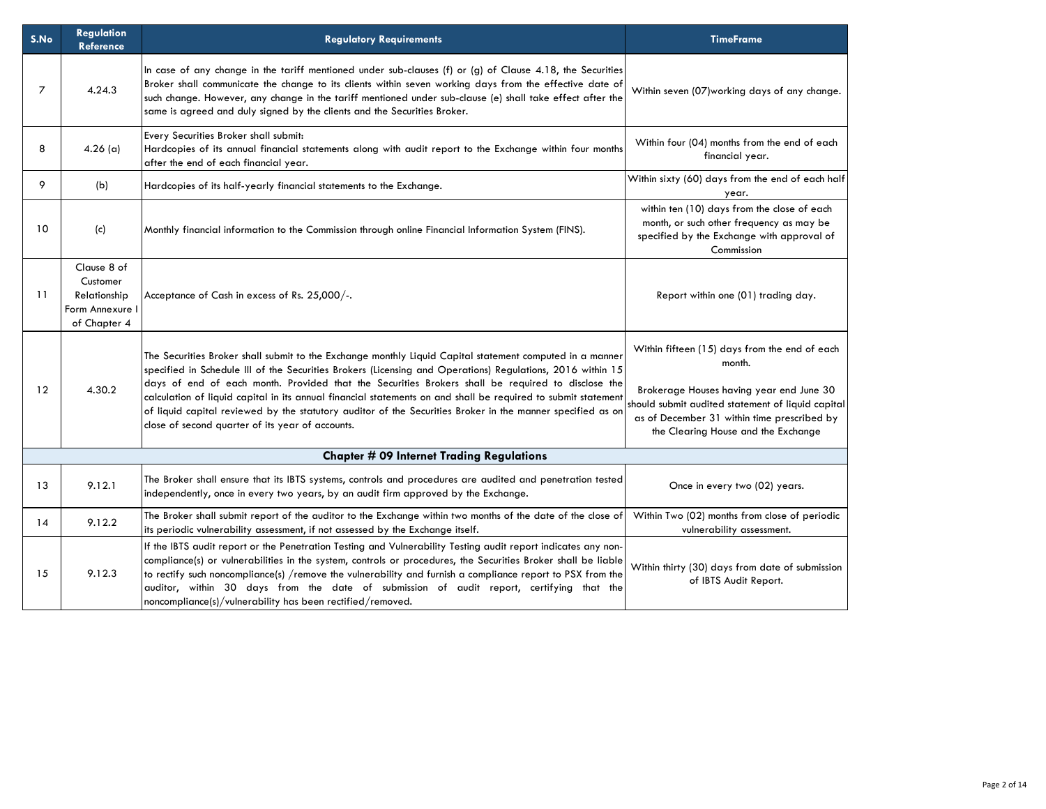| S.No           | Regulation<br><b>Reference</b>                                             | <b>Regulatory Requirements</b>                                                                                                                                                                                                                                                                                                                                                                                                                                                                                                                                                                                 | <b>TimeFrame</b>                                                                                                                                                                                                                               |
|----------------|----------------------------------------------------------------------------|----------------------------------------------------------------------------------------------------------------------------------------------------------------------------------------------------------------------------------------------------------------------------------------------------------------------------------------------------------------------------------------------------------------------------------------------------------------------------------------------------------------------------------------------------------------------------------------------------------------|------------------------------------------------------------------------------------------------------------------------------------------------------------------------------------------------------------------------------------------------|
| $\overline{7}$ | 4.24.3                                                                     | In case of any change in the tariff mentioned under sub-clauses (f) or (g) of Clause 4.18, the Securities<br>Broker shall communicate the change to its clients within seven working days from the effective date of<br>such change. However, any change in the tariff mentioned under sub-clause (e) shall take effect after the<br>same is agreed and duly signed by the clients and the Securities Broker.                                                                                                                                                                                                  | Within seven (07) working days of any change.                                                                                                                                                                                                  |
| 8              | $4.26$ (a)                                                                 | Every Securities Broker shall submit:<br>Hardcopies of its annual financial statements along with audit report to the Exchange within four months<br>after the end of each financial year.                                                                                                                                                                                                                                                                                                                                                                                                                     | Within four (04) months from the end of each<br>financial year.                                                                                                                                                                                |
| 9              | (b)                                                                        | Hardcopies of its half-yearly financial statements to the Exchange.                                                                                                                                                                                                                                                                                                                                                                                                                                                                                                                                            | Within sixty (60) days from the end of each half<br>year.                                                                                                                                                                                      |
| 10             | (c)                                                                        | Monthly financial information to the Commission through online Financial Information System (FINS).                                                                                                                                                                                                                                                                                                                                                                                                                                                                                                            | within ten (10) days from the close of each<br>month, or such other frequency as may be<br>specified by the Exchange with approval of<br>Commission                                                                                            |
| 11             | Clause 8 of<br>Customer<br>Relationship<br>Form Annexure I<br>of Chapter 4 | Acceptance of Cash in excess of Rs. 25,000/-.                                                                                                                                                                                                                                                                                                                                                                                                                                                                                                                                                                  | Report within one (01) trading day.                                                                                                                                                                                                            |
| 12             | 4.30.2                                                                     | The Securities Broker shall submit to the Exchange monthly Liquid Capital statement computed in a manner<br>specified in Schedule III of the Securities Brokers (Licensing and Operations) Regulations, 2016 within 15<br>days of end of each month. Provided that the Securities Brokers shall be required to disclose the<br>calculation of liquid capital in its annual financial statements on and shall be required to submit statement<br>of liquid capital reviewed by the statutory auditor of the Securities Broker in the manner specified as on<br>close of second quarter of its year of accounts. | Within fifteen (15) days from the end of each<br>month.<br>Brokerage Houses having year end June 30<br>should submit audited statement of liquid capital<br>as of December 31 within time prescribed by<br>the Clearing House and the Exchange |
|                |                                                                            | <b>Chapter # 09 Internet Trading Regulations</b>                                                                                                                                                                                                                                                                                                                                                                                                                                                                                                                                                               |                                                                                                                                                                                                                                                |
| 13             | 9.12.1                                                                     | The Broker shall ensure that its IBTS systems, controls and procedures are audited and penetration tested<br>independently, once in every two years, by an audit firm approved by the Exchange.                                                                                                                                                                                                                                                                                                                                                                                                                | Once in every two (02) years.                                                                                                                                                                                                                  |
| 14             | 9.12.2                                                                     | The Broker shall submit report of the auditor to the Exchange within two months of the date of the close of<br>its periodic vulnerability assessment, if not assessed by the Exchange itself.                                                                                                                                                                                                                                                                                                                                                                                                                  | Within Two (02) months from close of periodic<br>vulnerability assessment.                                                                                                                                                                     |
| 15             | 9.12.3                                                                     | If the IBTS audit report or the Penetration Testing and Vulnerability Testing audit report indicates any non-<br>compliance(s) or vulnerabilities in the system, controls or procedures, the Securities Broker shall be liable<br>to rectify such noncompliance(s) /remove the vulnerability and furnish a compliance report to PSX from the<br>auditor, within 30 days from the date of submission of audit report, certifying that the<br>noncompliance(s)/vulnerability has been rectified/removed.                                                                                                         | Within thirty (30) days from date of submission<br>of IBTS Audit Report.                                                                                                                                                                       |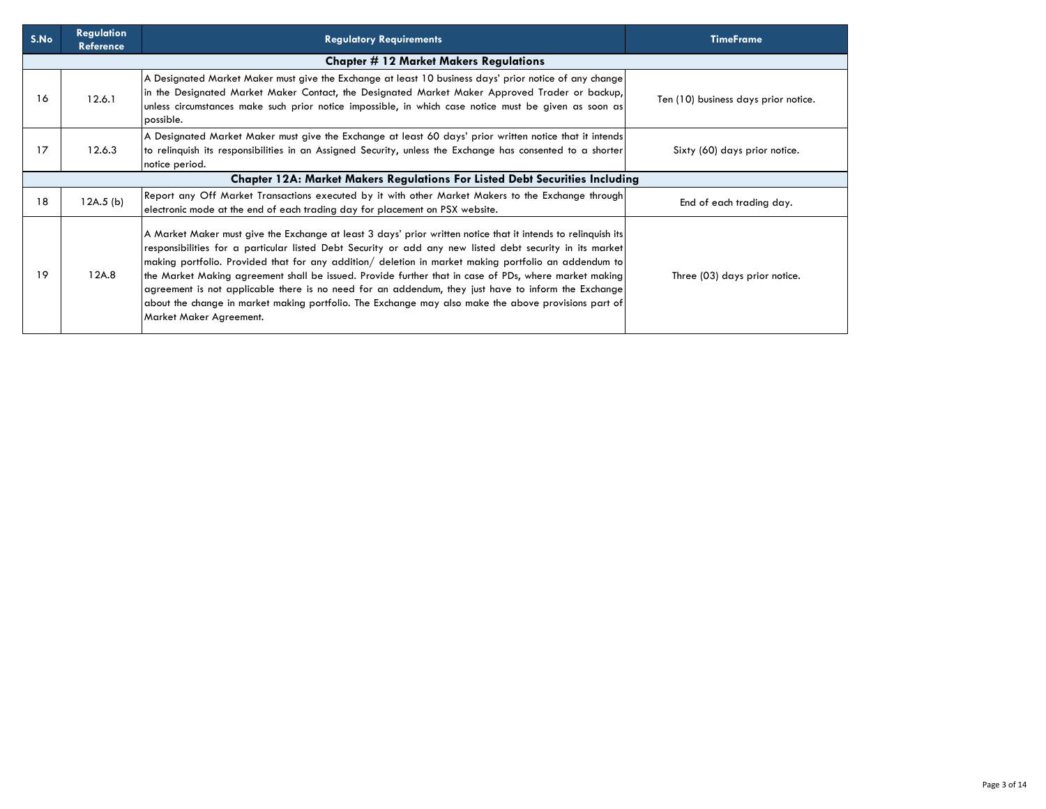| S.No | <b>Regulation</b><br><b>Reference</b> | <b>Regulatory Requirements</b>                                                                                                                                                                                                                                                                                                                                                                                                                                                                                                                                                                                                                                                       | <b>TimeFrame</b>                     |
|------|---------------------------------------|--------------------------------------------------------------------------------------------------------------------------------------------------------------------------------------------------------------------------------------------------------------------------------------------------------------------------------------------------------------------------------------------------------------------------------------------------------------------------------------------------------------------------------------------------------------------------------------------------------------------------------------------------------------------------------------|--------------------------------------|
|      |                                       | <b>Chapter # 12 Market Makers Regulations</b>                                                                                                                                                                                                                                                                                                                                                                                                                                                                                                                                                                                                                                        |                                      |
| 16   | 12.6.1                                | A Designated Market Maker must give the Exchange at least 10 business days' prior notice of any change<br>in the Designated Market Maker Contact, the Designated Market Maker Approved Trader or backup,<br>unless circumstances make such prior notice impossible, in which case notice must be given as soon as<br>possible.                                                                                                                                                                                                                                                                                                                                                       | Ten (10) business days prior notice. |
| 17   | 12.6.3                                | A Designated Market Maker must give the Exchange at least 60 days' prior written notice that it intends<br>to relinguish its responsibilities in an Assigned Security, unless the Exchange has consented to a shorter<br>notice period.                                                                                                                                                                                                                                                                                                                                                                                                                                              | Sixty (60) days prior notice.        |
|      |                                       | <b>Chapter 12A: Market Makers Regulations For Listed Debt Securities Including</b>                                                                                                                                                                                                                                                                                                                                                                                                                                                                                                                                                                                                   |                                      |
| 18   | 12A.5(b)                              | Report any Off Market Transactions executed by it with other Market Makers to the Exchange through<br>electronic mode at the end of each trading day for placement on PSX website.                                                                                                                                                                                                                                                                                                                                                                                                                                                                                                   | End of each trading day.             |
| 19   | 12A.8                                 | A Market Maker must give the Exchange at least 3 days' prior written notice that it intends to relinquish its<br>responsibilities for a particular listed Debt Security or add any new listed debt security in its market<br>making portfolio. Provided that for any addition/ deletion in market making portfolio an addendum to<br>the Market Making agreement shall be issued. Provide further that in case of PDs, where market making<br>agreement is not applicable there is no need for an addendum, they just have to inform the Exchange<br>about the change in market making portfolio. The Exchange may also make the above provisions part of<br>Market Maker Agreement. | Three (03) days prior notice.        |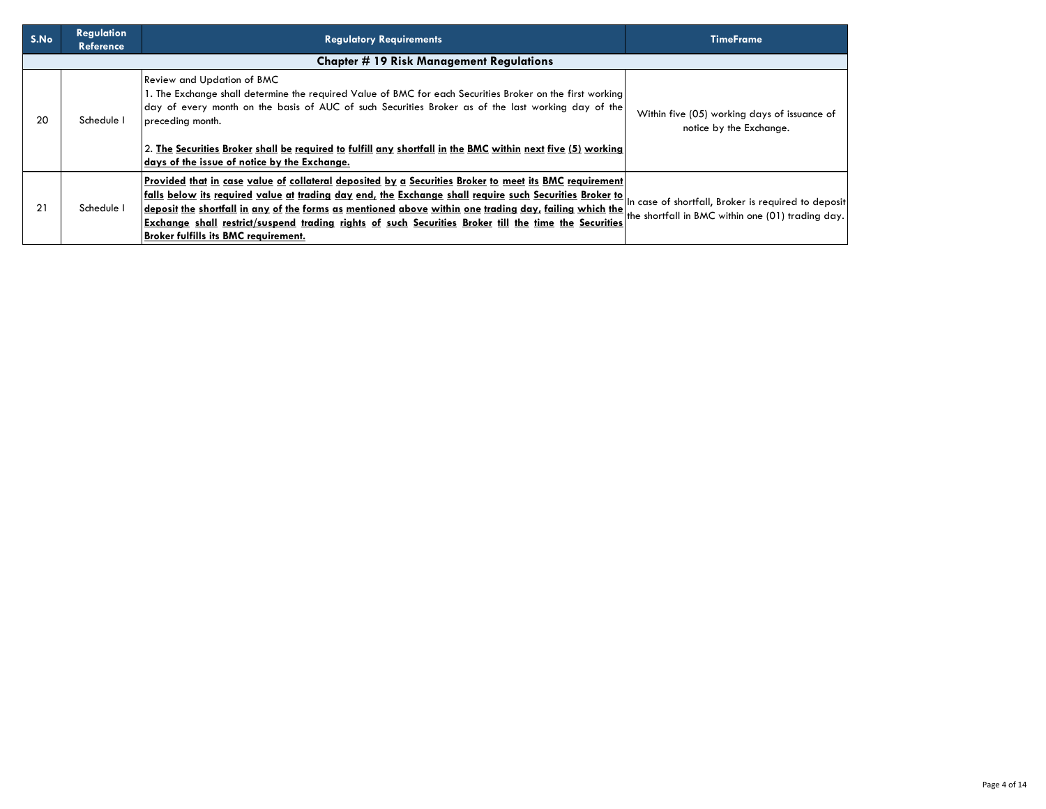| S.No | <b>Regulation</b><br><b>Reference</b> | <b>Requlatory Requirements</b>                                                                                                                                                                                                                                                                                                                                                                                                                                                                                                                                                                   | <b>TimeFrame</b>                                                        |
|------|---------------------------------------|--------------------------------------------------------------------------------------------------------------------------------------------------------------------------------------------------------------------------------------------------------------------------------------------------------------------------------------------------------------------------------------------------------------------------------------------------------------------------------------------------------------------------------------------------------------------------------------------------|-------------------------------------------------------------------------|
|      |                                       | <b>Chapter # 19 Risk Management Regulations</b>                                                                                                                                                                                                                                                                                                                                                                                                                                                                                                                                                  |                                                                         |
| 20   | Schedule I                            | Review and Updation of BMC<br>1. The Exchange shall determine the required Value of BMC for each Securities Broker on the first working<br>day of every month on the basis of AUC of such Securities Broker as of the last working day of the<br>preceding month.<br>2. The Securities Broker shall be required to fulfill any shortfall in the BMC within next five (5) working<br>days of the issue of notice by the Exchange.                                                                                                                                                                 | Within five (05) working days of issuance of<br>notice by the Exchange. |
| 21   | Schedule I                            | Provided that in case value of collateral deposited by a Securities Broker to meet its BMC requirement<br><u>falls below its required value at trading day end, the Exchange shall require such Securities Broker to In case of shortfall, Broker is required to deposit</u><br>deposit the shortfall in any of the forms as mentioned above within one trading day, failing which the the shortfall in BMC within one (01) trading day.<br>Exchange shall restrict/suspend trading rights of such Securities Broker till the time the Securities<br><b>Broker fulfills its BMC requirement.</b> |                                                                         |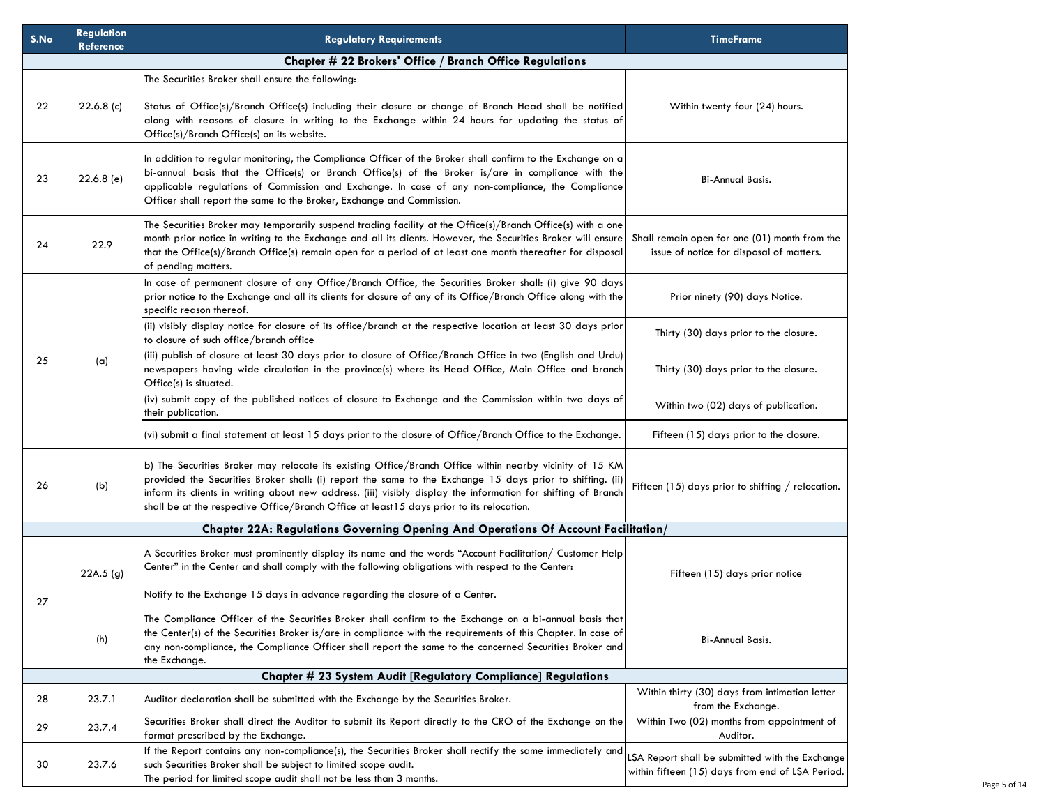| S.No | <b>Regulation</b><br>Reference | <b>Regulatory Requirements</b>                                                                                                                                                                                                                                                                                                                                                                                                     | <b>TimeFrame</b>                                                                                    |
|------|--------------------------------|------------------------------------------------------------------------------------------------------------------------------------------------------------------------------------------------------------------------------------------------------------------------------------------------------------------------------------------------------------------------------------------------------------------------------------|-----------------------------------------------------------------------------------------------------|
|      |                                | Chapter # 22 Brokers' Office / Branch Office Regulations                                                                                                                                                                                                                                                                                                                                                                           |                                                                                                     |
|      |                                | The Securities Broker shall ensure the following:                                                                                                                                                                                                                                                                                                                                                                                  |                                                                                                     |
| 22   | $22.6.8$ (c)                   | Status of Office(s)/Branch Office(s) including their closure or change of Branch Head shall be notified<br>along with reasons of closure in writing to the Exchange within 24 hours for updating the status of<br>Office(s)/Branch Office(s) on its website.                                                                                                                                                                       | Within twenty four (24) hours.                                                                      |
| 23   | 22.6.8(e)                      | In addition to regular monitoring, the Compliance Officer of the Broker shall confirm to the Exchange on a<br>bi-annual basis that the Office(s) or Branch Office(s) of the Broker is/are in compliance with the<br>applicable regulations of Commission and Exchange. In case of any non-compliance, the Compliance<br>Officer shall report the same to the Broker, Exchange and Commission.                                      | <b>Bi-Annual Basis.</b>                                                                             |
| 24   | 22.9                           | The Securities Broker may temporarily suspend trading facility at the Office(s)/Branch Office(s) with a one<br>month prior notice in writing to the Exchange and all its clients. However, the Securities Broker will ensure<br>that the Office(s)/Branch Office(s) remain open for a period of at least one month thereafter for disposal<br>of pending matters.                                                                  | Shall remain open for one (01) month from the<br>issue of notice for disposal of matters.           |
|      |                                | In case of permanent closure of any Office/Branch Office, the Securities Broker shall: (i) give 90 days<br>prior notice to the Exchange and all its clients for closure of any of its Office/Branch Office along with the<br>specific reason thereof.                                                                                                                                                                              | Prior ninety (90) days Notice.                                                                      |
|      |                                | (ii) visibly display notice for closure of its office/branch at the respective location at least 30 days prior<br>to closure of such office/branch office                                                                                                                                                                                                                                                                          | Thirty (30) days prior to the closure.                                                              |
| 25   | (a)                            | (iii) publish of closure at least 30 days prior to closure of Office/Branch Office in two (English and Urdu)<br>newspapers having wide circulation in the province(s) where its Head Office, Main Office and branch<br>Office(s) is situated.                                                                                                                                                                                      | Thirty (30) days prior to the closure.                                                              |
|      |                                | (iv) submit copy of the published notices of closure to Exchange and the Commission within two days of<br>their publication.                                                                                                                                                                                                                                                                                                       | Within two (02) days of publication.                                                                |
|      |                                | (vi) submit a final statement at least 15 days prior to the closure of Office/Branch Office to the Exchange.                                                                                                                                                                                                                                                                                                                       | Fifteen (15) days prior to the closure.                                                             |
| 26   | (b)                            | b) The Securities Broker may relocate its existing Office/Branch Office within nearby vicinity of 15 KM<br>provided the Securities Broker shall: (i) report the same to the Exchange 15 days prior to shifting. (ii)<br>inform its clients in writing about new address. (iii) visibly display the information for shifting of Branch<br>shall be at the respective Office/Branch Office at least 15 days prior to its relocation. | Fifteen (15) days prior to shifting $/$ relocation.                                                 |
|      |                                | Chapter 22A: Regulations Governing Opening And Operations Of Account Facilitation/                                                                                                                                                                                                                                                                                                                                                 |                                                                                                     |
| 27   | 22A.5(g)                       | A Securities Broker must prominently display its name and the words "Account Facilitation/ Customer Help<br>Center" in the Center and shall comply with the following obligations with respect to the Center:<br>Notify to the Exchange 15 days in advance regarding the closure of a Center.                                                                                                                                      | Fifteen (15) days prior notice                                                                      |
|      | (h)                            | The Compliance Officer of the Securities Broker shall confirm to the Exchange on a bi-annual basis that<br>the Center(s) of the Securities Broker is/are in compliance with the requirements of this Chapter. In case of<br>any non-compliance, the Compliance Officer shall report the same to the concerned Securities Broker and<br>the Exchange.                                                                               | <b>Bi-Annual Basis.</b>                                                                             |
|      |                                | Chapter # 23 System Audit [Regulatory Compliance] Regulations                                                                                                                                                                                                                                                                                                                                                                      |                                                                                                     |
| 28   | 23.7.1                         | Auditor declaration shall be submitted with the Exchange by the Securities Broker.                                                                                                                                                                                                                                                                                                                                                 | Within thirty (30) days from intimation letter<br>from the Exchange.                                |
| 29   | 23.7.4                         | Securities Broker shall direct the Auditor to submit its Report directly to the CRO of the Exchange on the<br>format prescribed by the Exchange.                                                                                                                                                                                                                                                                                   | Within Two (02) months from appointment of<br>Auditor.                                              |
| 30   | 23.7.6                         | If the Report contains any non-compliance(s), the Securities Broker shall rectify the same immediately and<br>such Securities Broker shall be subject to limited scope audit.<br>The period for limited scope audit shall not be less than 3 months.                                                                                                                                                                               | LSA Report shall be submitted with the Exchange<br>within fifteen (15) days from end of LSA Period. |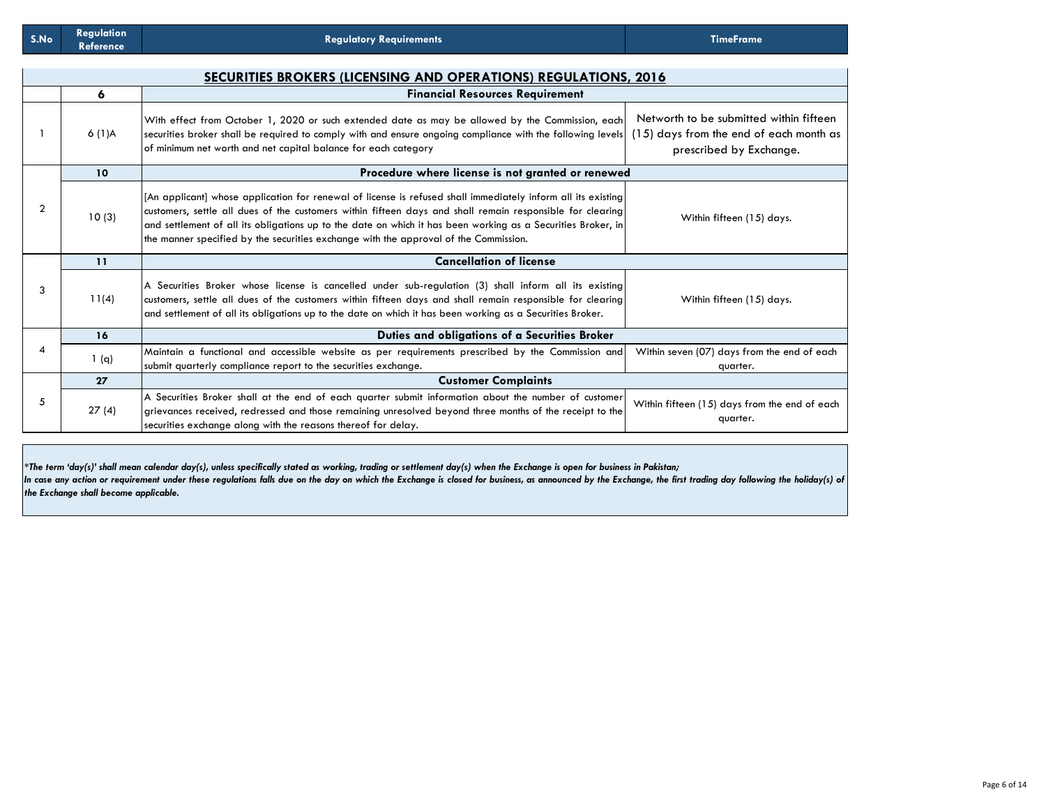|                |       | SECURITIES BROKERS (LICENSING AND OPERATIONS) REGULATIONS, 2016                                                                                                                                                                                                                                                                                                                                                                    |                                                                                                               |
|----------------|-------|------------------------------------------------------------------------------------------------------------------------------------------------------------------------------------------------------------------------------------------------------------------------------------------------------------------------------------------------------------------------------------------------------------------------------------|---------------------------------------------------------------------------------------------------------------|
|                | 6     | <b>Financial Resources Requirement</b>                                                                                                                                                                                                                                                                                                                                                                                             |                                                                                                               |
|                | 6(1)A | With effect from October 1, 2020 or such extended date as may be allowed by the Commission, each<br>securities broker shall be required to comply with and ensure ongoing compliance with the following levels<br>of minimum net worth and net capital balance for each category                                                                                                                                                   | Networth to be submitted within fifteen<br>(15) days from the end of each month as<br>prescribed by Exchange. |
|                | 10    | Procedure where license is not granted or renewed                                                                                                                                                                                                                                                                                                                                                                                  |                                                                                                               |
| $\overline{2}$ | 10(3) | [An applicant] whose application for renewal of license is refused shall immediately inform all its existing]<br>customers, settle all dues of the customers within fifteen days and shall remain responsible for clearing<br>and settlement of all its obligations up to the date on which it has been working as a Securities Broker, in<br>the manner specified by the securities exchange with the approval of the Commission. | Within fifteen (15) days.                                                                                     |
|                | 11    | <b>Cancellation of license</b>                                                                                                                                                                                                                                                                                                                                                                                                     |                                                                                                               |
| 3              | 11(4) | A Securities Broker whose license is cancelled under sub-regulation (3) shall inform all its existing<br>customers, settle all dues of the customers within fifteen days and shall remain responsible for clearing<br>and settlement of all its obligations up to the date on which it has been working as a Securities Broker.                                                                                                    | Within fifteen (15) days.                                                                                     |
|                | 16    | Duties and obligations of a Securities Broker                                                                                                                                                                                                                                                                                                                                                                                      |                                                                                                               |
| 4              | 1(q)  | Maintain a functional and accessible website as per requirements prescribed by the Commission and<br>submit quarterly compliance report to the securities exchange.                                                                                                                                                                                                                                                                | Within seven (07) days from the end of each<br>quarter.                                                       |
|                | 27    | <b>Customer Complaints</b>                                                                                                                                                                                                                                                                                                                                                                                                         |                                                                                                               |
| 5              | 27(4) | A Securities Broker shall at the end of each quarter submit information about the number of customer<br>grievances received, redressed and those remaining unresolved beyond three months of the receipt to the<br>securities exchange along with the reasons thereof for delay.                                                                                                                                                   | Within fifteen (15) days from the end of each<br>quarter.                                                     |

*\*The term 'day(s)' shall mean calendar day(s), unless specifically stated as working, trading or settlement day(s) when the Exchange is open for business in Pakistan;* In case any action or requirement under these regulations falls due on the day on which the Exchange is closed for business, as announced by the Exchange, the first trading day following the holiday(s) of *the Exchange shall become applicable.*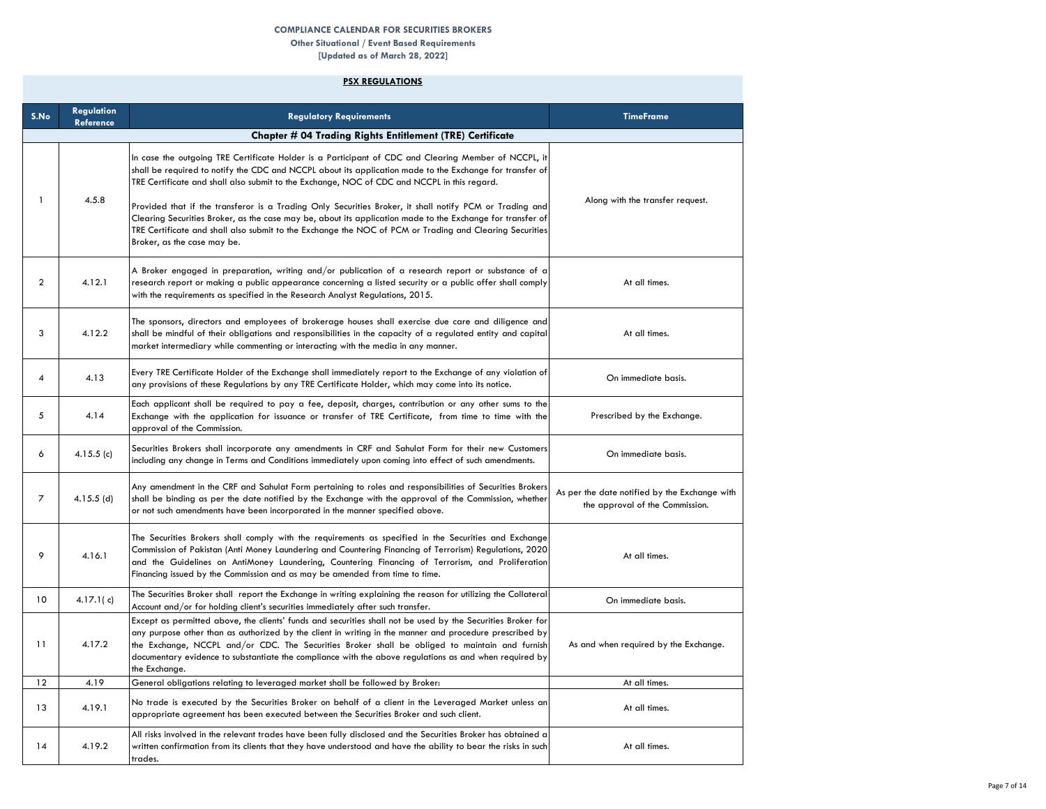### **COMPLIANCE CALENDAR FOR SECURITIES BROKERS**

**Other Situational / Event Based Requirements**

**[Updated as of March 28, 2022] PSX REGULATIONS**

#### **S.No Regulation Reference Regulatory Requirements TimeFrame**  $1 \quad 4.5.8$ In case the outgoing TRE Certificate Holder is a Participant of CDC and Clearing Member of NCCPL, it shall be required to notify the CDC and NCCPL about its application made to the Exchange for transfer of TRE Certificate and shall also submit to the Exchange, NOC of CDC and NCCPL in this regard. Provided that if the transferor is a Trading Only Securities Broker, it shall notify PCM or Trading and Clearing Securities Broker, as the case may be, about its application made to the Exchange for transfer of TRE Certificate and shall also submit to the Exchange the NOC of PCM or Trading and Clearing Securities Broker, as the case may be. Along with the transfer request.  $2 \mid 4.12.1$ A Broker engaged in preparation, writing and/or publication of a research report or substance of a research report or making a public appearance concerning a listed security or a public offer shall comply with the requirements as specified in the Research Analyst Regulations, 2015. At all times. 3 4.12.2 The sponsors, directors and employees of brokerage houses shall exercise due care and diligence and shall be mindful of their obligations and responsibilities in the capacity of a regulated entity and capital market intermediary while commenting or interacting with the media in any manner. At all times. 4 4.13 Every TRE Certificate Holder of the Exchange shall immediately report to the Exchange of any violation of any provisions of these Regulations by any TRE Certificate Holder, which may come into its notice. On immediate basis. 5 4.14 Each applicant shall be required to pay a fee, deposit, charges, contribution or any other sums to the Exchange with the application for issuance or transfer of TRE Certificate, from time to time with the approval of the Commission. Prescribed by the Exchange. 6 4.15.5 (c) Securities Brokers shall incorporate any amendments in CRF and Sahulat Form for their new Customers securities brokers shall incorporate any amenaments in CKF and Sanulat Form for meir new Customers (Securities<br>Including any change in Terms and Conditions immediately upon coming into effect of such amendments. (On immedi 7 4.15.5 (d) Any amendment in the CRF and Sahulat Form pertaining to roles and responsibilities of Securities Brokers shall be binding as per the date notified by the Exchange with the approval of the Commission, whether or not such amendments have been incorporated in the manner specified above. As per the date notified by the Exchange with the approval of the Commission. 9 4.16.1 The Securities Brokers shall comply with the requirements as specified in the Securities and Exchange Commission of Pakistan (Anti Money Laundering and Countering Financing of Terrorism) Regulations, 2020 and the Guidelines on AntiMoney Laundering, Countering Financing of Terrorism, and Proliferation Financing issued by the Commission and as may be amended from time to time. At all times. 10 4.17.1(c) The Securities Broker shall report the Exchange in writing explaining the reason for utilizing the Collateral nie becomies broker shall report the Exchange in writing explaining the reason for unitality the Conditeration<br>Account and/or for holding client's securities immediately after such transfer. 11 4.17.2 Except as permitted above, the clients' funds and securities shall not be used by the Securities Broker for any purpose other than as authorized by the client in writing in the manner and procedure prescribed by the Exchange, NCCPL and/or CDC. The Securities Broker shall be obliged to maintain and furnish documentary evidence to substantiate the compliance with the above regulations as and when required by the Exchange. As and when required by the Exchange. 12 4.19 General obligations relating to leveraged market shall be followed by Broker: At all times. 13 4.19.1 No trade is executed by the Securities Broker on behalf of a client in the Leveraged Market unless an appropriate agreement has been executed between the Securities Broker and such client. At all times. All risks involved in the relevant trades have been fully disclosed and the Securities Broker has obtained a **Chapter # 04 Trading Rights Entitlement (TRE) Certificate**

written confirmation from its clients that they have understood and have the ability to bear the risks in such

At all times.

14 4.19.2

trades.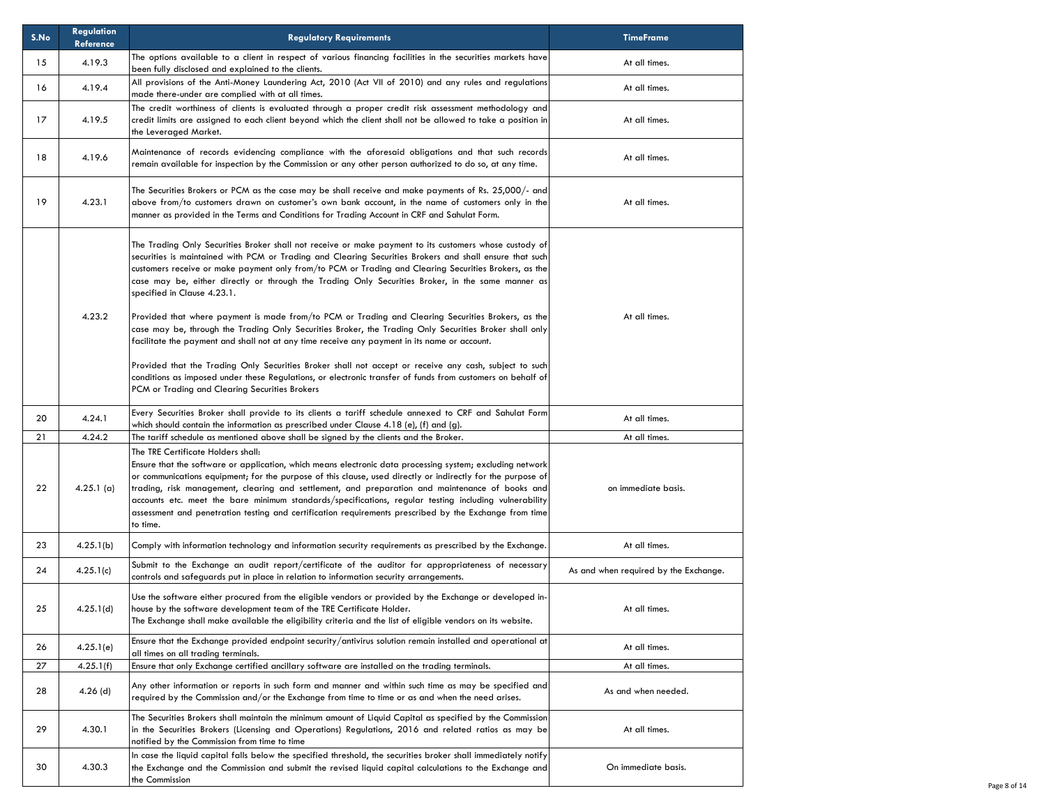| S.No | <b>Regulation</b><br>Reference | <b>Regulatory Requirements</b>                                                                                                                                                                                                                                                                                                                                                                                                                                                                                                                                                                   | <b>TimeFrame</b>                      |
|------|--------------------------------|--------------------------------------------------------------------------------------------------------------------------------------------------------------------------------------------------------------------------------------------------------------------------------------------------------------------------------------------------------------------------------------------------------------------------------------------------------------------------------------------------------------------------------------------------------------------------------------------------|---------------------------------------|
| 15   | 4.19.3                         | The options available to a client in respect of various financing facilities in the securities markets have<br>been fully disclosed and explained to the clients.                                                                                                                                                                                                                                                                                                                                                                                                                                | At all times.                         |
| 16   | 4.19.4                         | All provisions of the Anti-Money Laundering Act, 2010 (Act VII of 2010) and any rules and regulations<br>made there-under are complied with at all times.                                                                                                                                                                                                                                                                                                                                                                                                                                        | At all times.                         |
| 17   | 4.19.5                         | The credit worthiness of clients is evaluated through a proper credit risk assessment methodology and<br>credit limits are assigned to each client beyond which the client shall not be allowed to take a position in<br>the Leveraged Market.                                                                                                                                                                                                                                                                                                                                                   | At all times.                         |
| 18   | 4.19.6                         | Maintenance of records evidencing compliance with the aforesaid obligations and that such records<br>remain available for inspection by the Commission or any other person authorized to do so, at any time.                                                                                                                                                                                                                                                                                                                                                                                     | At all times.                         |
| 19   | 4.23.1                         | The Securities Brokers or PCM as the case may be shall receive and make payments of Rs. 25,000/- and<br>above from/to customers drawn on customer's own bank account, in the name of customers only in the<br>manner as provided in the Terms and Conditions for Trading Account in CRF and Sahulat Form.                                                                                                                                                                                                                                                                                        | At all times.                         |
|      |                                | The Trading Only Securities Broker shall not receive or make payment to its customers whose custody of<br>securities is maintained with PCM or Trading and Clearing Securities Brokers and shall ensure that such<br>customers receive or make payment only from/to PCM or Trading and Clearing Securities Brokers, as the<br>case may be, either directly or through the Trading Only Securities Broker, in the same manner as<br>specified in Clause 4.23.1.                                                                                                                                   |                                       |
|      | 4.23.2                         | Provided that where payment is made from/to PCM or Trading and Clearing Securities Brokers, as the<br>case may be, through the Trading Only Securities Broker, the Trading Only Securities Broker shall only<br>facilitate the payment and shall not at any time receive any payment in its name or account.                                                                                                                                                                                                                                                                                     | At all times.                         |
|      |                                | Provided that the Trading Only Securities Broker shall not accept or receive any cash, subject to such<br>conditions as imposed under these Regulations, or electronic transfer of funds from customers on behalf of<br>PCM or Trading and Clearing Securities Brokers                                                                                                                                                                                                                                                                                                                           |                                       |
| 20   | 4.24.1                         | Every Securities Broker shall provide to its clients a tariff schedule annexed to CRF and Sahulat Form<br>which should contain the information as prescribed under Clause 4.18 (e), (f) and (g).                                                                                                                                                                                                                                                                                                                                                                                                 | At all times.                         |
| 21   | 4.24.2                         | The tariff schedule as mentioned above shall be signed by the clients and the Broker.                                                                                                                                                                                                                                                                                                                                                                                                                                                                                                            | At all times.                         |
| 22   | 4.25.1(a)                      | The TRE Certificate Holders shall:<br>Ensure that the software or application, which means electronic data processing system; excluding network<br>or communications equipment; for the purpose of this clause, used directly or indirectly for the purpose of<br>trading, risk management, clearing and settlement, and preparation and maintenance of books and<br>accounts etc. meet the bare minimum standards/specifications, regular testing including vulnerability<br>assessment and penetration testing and certification requirements prescribed by the Exchange from time<br>to time. | on immediate basis.                   |
| 23   | 4.25.1(b)                      | Comply with information technology and information security requirements as prescribed by the Exchange.                                                                                                                                                                                                                                                                                                                                                                                                                                                                                          | At all times.                         |
| 24   | 4.25.1(c)                      | Submit to the Exchange an audit report/certificate of the auditor for appropriateness of necessary<br>controls and safeguards put in place in relation to information security arrangements.                                                                                                                                                                                                                                                                                                                                                                                                     | As and when required by the Exchange. |
| 25   | 4.25.1(d)                      | Use the software either procured from the eligible vendors or provided by the Exchange or developed in-<br>house by the software development team of the TRE Certificate Holder.<br>The Exchange shall make available the eligibility criteria and the list of eligible vendors on its website.                                                                                                                                                                                                                                                                                                  | At all times.                         |
| 26   | 4.25.1(e)                      | Ensure that the Exchange provided endpoint security/antivirus solution remain installed and operational at<br>all times on all trading terminals.                                                                                                                                                                                                                                                                                                                                                                                                                                                | At all times.                         |
| 27   | 4.25.1(f)                      | Ensure that only Exchange certified ancillary software are installed on the trading terminals.                                                                                                                                                                                                                                                                                                                                                                                                                                                                                                   | At all times.                         |
| 28   | $4.26$ (d)                     | Any other information or reports in such form and manner and within such time as may be specified and<br>required by the Commission and/or the Exchange from time to time or as and when the need arises.                                                                                                                                                                                                                                                                                                                                                                                        | As and when needed.                   |
| 29   | 4.30.1                         | The Securities Brokers shall maintain the minimum amount of Liquid Capital as specified by the Commission<br>in the Securities Brokers (Licensing and Operations) Regulations, 2016 and related ratios as may be<br>notified by the Commission from time to time                                                                                                                                                                                                                                                                                                                                 | At all times.                         |
| 30   | 4.30.3                         | In case the liquid capital falls below the specified threshold, the securities broker shall immediately notify<br>the Exchange and the Commission and submit the revised liquid capital calculations to the Exchange and<br>the Commission                                                                                                                                                                                                                                                                                                                                                       | On immediate basis.                   |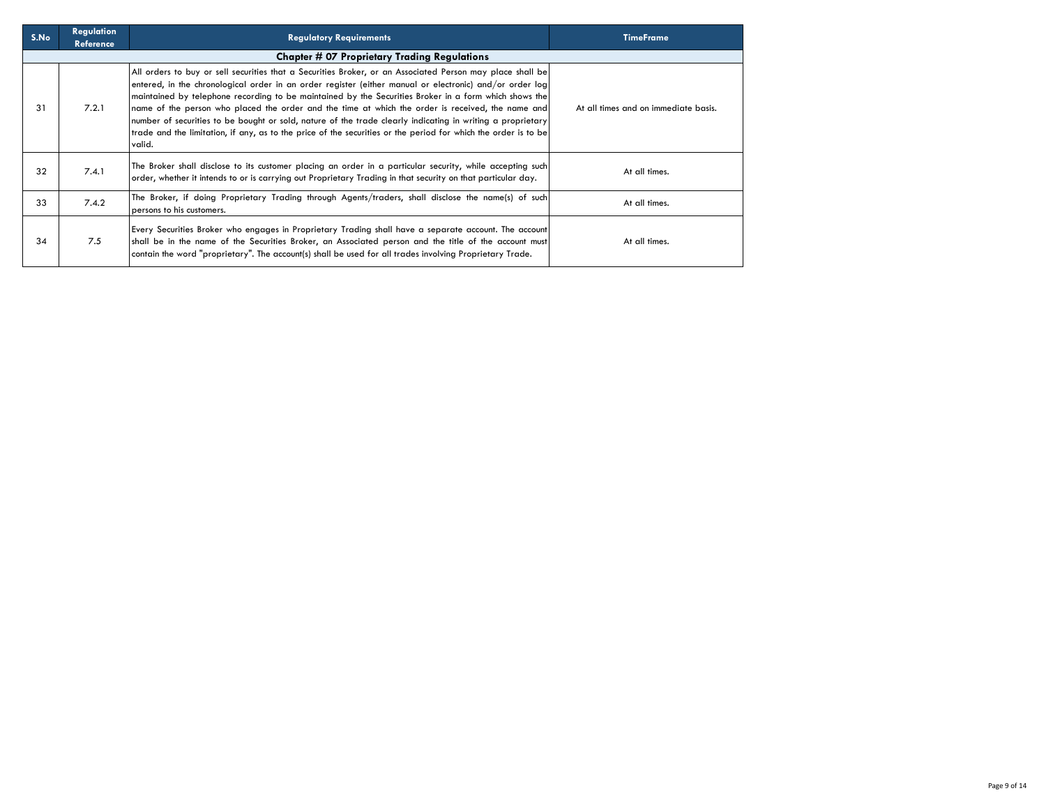| S.No | <b>Regulation</b><br><b>Reference</b> | <b>Regulatory Requirements</b>                                                                                                                                                                                                                                                                                                                                                                                                                                                                                                                                                                                                                                               | <b>TimeFrame</b>                     |
|------|---------------------------------------|------------------------------------------------------------------------------------------------------------------------------------------------------------------------------------------------------------------------------------------------------------------------------------------------------------------------------------------------------------------------------------------------------------------------------------------------------------------------------------------------------------------------------------------------------------------------------------------------------------------------------------------------------------------------------|--------------------------------------|
|      |                                       | <b>Chapter # 07 Proprietary Trading Regulations</b>                                                                                                                                                                                                                                                                                                                                                                                                                                                                                                                                                                                                                          |                                      |
| 31   | 7.2.1                                 | All orders to buy or sell securities that a Securities Broker, or an Associated Person may place shall be<br>entered, in the chronological order in an order register (either manual or electronic) and/or order log<br>maintained by telephone recording to be maintained by the Securities Broker in a form which shows the<br>name of the person who placed the order and the time at which the order is received, the name and<br>number of securities to be bought or sold, nature of the trade clearly indicating in writing a proprietary<br>trade and the limitation, if any, as to the price of the securities or the period for which the order is to be<br>valid. | At all times and on immediate basis. |
| 32   | 7.4.1                                 | The Broker shall disclose to its customer placing an order in a particular security, while accepting such<br>order, whether it intends to or is carrying out Proprietary Trading in that security on that particular day.                                                                                                                                                                                                                                                                                                                                                                                                                                                    | At all times.                        |
| 33   | 7.4.2                                 | The Broker, if doing Proprietary Trading through Agents/traders, shall disclose the name(s) of such<br>persons to his customers.                                                                                                                                                                                                                                                                                                                                                                                                                                                                                                                                             | At all times.                        |
| 34   | 7.5                                   | Every Securities Broker who engages in Proprietary Trading shall have a separate account. The account<br>shall be in the name of the Securities Broker, an Associated person and the title of the account must<br>contain the word "proprietary". The account(s) shall be used for all trades involving Proprietary Trade.                                                                                                                                                                                                                                                                                                                                                   | At all times.                        |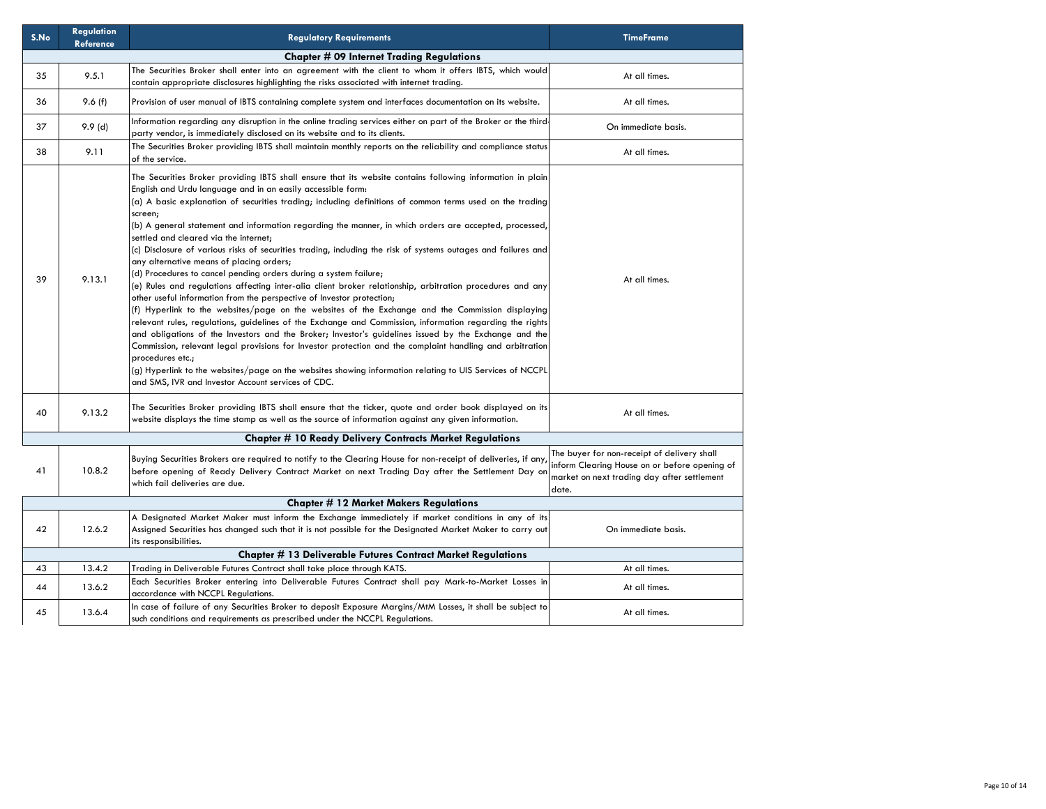| S.No | <b>Regulation</b><br><b>Reference</b> | <b>Regulatory Requirements</b>                                                                                                                                                                                                                                                                                                                                                                                                                                                                                                                                                                                                                                                                                                                                                                                                                                                                                                                                                                                                                                                                                                                                                                                                                                                                                                                                                                                                                                                                        | <b>TimeFrame</b>                                                                                                                                     |
|------|---------------------------------------|-------------------------------------------------------------------------------------------------------------------------------------------------------------------------------------------------------------------------------------------------------------------------------------------------------------------------------------------------------------------------------------------------------------------------------------------------------------------------------------------------------------------------------------------------------------------------------------------------------------------------------------------------------------------------------------------------------------------------------------------------------------------------------------------------------------------------------------------------------------------------------------------------------------------------------------------------------------------------------------------------------------------------------------------------------------------------------------------------------------------------------------------------------------------------------------------------------------------------------------------------------------------------------------------------------------------------------------------------------------------------------------------------------------------------------------------------------------------------------------------------------|------------------------------------------------------------------------------------------------------------------------------------------------------|
|      |                                       | <b>Chapter # 09 Internet Trading Regulations</b>                                                                                                                                                                                                                                                                                                                                                                                                                                                                                                                                                                                                                                                                                                                                                                                                                                                                                                                                                                                                                                                                                                                                                                                                                                                                                                                                                                                                                                                      |                                                                                                                                                      |
| 35   | 9.5.1                                 | The Securities Broker shall enter into an agreement with the client to whom it offers IBTS, which would<br>contain appropriate disclosures highlighting the risks associated with internet trading.                                                                                                                                                                                                                                                                                                                                                                                                                                                                                                                                                                                                                                                                                                                                                                                                                                                                                                                                                                                                                                                                                                                                                                                                                                                                                                   | At all times.                                                                                                                                        |
| 36   | 9.6(f)                                | Provision of user manual of IBTS containing complete system and interfaces documentation on its website.                                                                                                                                                                                                                                                                                                                                                                                                                                                                                                                                                                                                                                                                                                                                                                                                                                                                                                                                                                                                                                                                                                                                                                                                                                                                                                                                                                                              | At all times.                                                                                                                                        |
| 37   | 9.9(d)                                | Information regarding any disruption in the online trading services either on part of the Broker or the third-<br>party vendor, is immediately disclosed on its website and to its clients.                                                                                                                                                                                                                                                                                                                                                                                                                                                                                                                                                                                                                                                                                                                                                                                                                                                                                                                                                                                                                                                                                                                                                                                                                                                                                                           | On immediate basis.                                                                                                                                  |
| 38   | 9.11                                  | The Securities Broker providing IBTS shall maintain monthly reports on the reliability and compliance status<br>of the service.                                                                                                                                                                                                                                                                                                                                                                                                                                                                                                                                                                                                                                                                                                                                                                                                                                                                                                                                                                                                                                                                                                                                                                                                                                                                                                                                                                       | At all times.                                                                                                                                        |
| 39   | 9.13.1                                | The Securities Broker providing IBTS shall ensure that its website contains following information in plain<br>English and Urdu language and in an easily accessible form:<br>(a) A basic explanation of securities trading; including definitions of common terms used on the trading<br>screen;<br>(b) A general statement and information regarding the manner, in which orders are accepted, processed,<br>settled and cleared via the internet;<br>(c) Disclosure of various risks of securities trading, including the risk of systems outages and failures and<br>any alternative means of placing orders;<br>(d) Procedures to cancel pending orders during a system failure;<br>(e) Rules and regulations affecting inter-alia client broker relationship, arbitration procedures and any<br>other useful information from the perspective of Investor protection;<br>(f) Hyperlink to the websites/page on the websites of the Exchange and the Commission displaying<br>relevant rules, regulations, guidelines of the Exchange and Commission, information regarding the rights<br>and obligations of the Investors and the Broker; Investor's guidelines issued by the Exchange and the<br>Commission, relevant legal provisions for Investor protection and the complaint handling and arbitration<br>procedures etc.;<br>(g) Hyperlink to the websites/page on the websites showing information relating to UIS Services of NCCPL<br>and SMS, IVR and Investor Account services of CDC. | At all times.                                                                                                                                        |
| 40   | 9.13.2                                | The Securities Broker providing IBTS shall ensure that the ticker, quote and order book displayed on its<br>website displays the time stamp as well as the source of information against any given information.                                                                                                                                                                                                                                                                                                                                                                                                                                                                                                                                                                                                                                                                                                                                                                                                                                                                                                                                                                                                                                                                                                                                                                                                                                                                                       | At all times.                                                                                                                                        |
|      |                                       | <b>Chapter # 10 Ready Delivery Contracts Market Regulations</b>                                                                                                                                                                                                                                                                                                                                                                                                                                                                                                                                                                                                                                                                                                                                                                                                                                                                                                                                                                                                                                                                                                                                                                                                                                                                                                                                                                                                                                       |                                                                                                                                                      |
| 41   | 10.8.2                                | Buying Securities Brokers are required to notify to the Clearing House for non-receipt of deliveries, if any<br>before opening of Ready Delivery Contract Market on next Trading Day after the Settlement Day or<br>which fail deliveries are due.                                                                                                                                                                                                                                                                                                                                                                                                                                                                                                                                                                                                                                                                                                                                                                                                                                                                                                                                                                                                                                                                                                                                                                                                                                                    | The buyer for non-receipt of delivery shall<br>inform Clearing House on or before opening of<br>market on next trading day after settlement<br>date. |
|      |                                       | <b>Chapter #12 Market Makers Regulations</b>                                                                                                                                                                                                                                                                                                                                                                                                                                                                                                                                                                                                                                                                                                                                                                                                                                                                                                                                                                                                                                                                                                                                                                                                                                                                                                                                                                                                                                                          |                                                                                                                                                      |
| 42   | 12.6.2                                | A Designated Market Maker must inform the Exchange immediately if market conditions in any of its<br>Assigned Securities has changed such that it is not possible for the Designated Market Maker to carry out<br>its responsibilities.                                                                                                                                                                                                                                                                                                                                                                                                                                                                                                                                                                                                                                                                                                                                                                                                                                                                                                                                                                                                                                                                                                                                                                                                                                                               | On immediate basis.                                                                                                                                  |
|      |                                       | <b>Chapter # 13 Deliverable Futures Contract Market Regulations</b>                                                                                                                                                                                                                                                                                                                                                                                                                                                                                                                                                                                                                                                                                                                                                                                                                                                                                                                                                                                                                                                                                                                                                                                                                                                                                                                                                                                                                                   |                                                                                                                                                      |
| 43   | 13.4.2                                | Trading in Deliverable Futures Contract shall take place through KATS.                                                                                                                                                                                                                                                                                                                                                                                                                                                                                                                                                                                                                                                                                                                                                                                                                                                                                                                                                                                                                                                                                                                                                                                                                                                                                                                                                                                                                                | At all times.                                                                                                                                        |
| 44   | 13.6.2                                | Each Securities Broker entering into Deliverable Futures Contract shall pay Mark-to-Market Losses in<br>accordance with NCCPL Regulations.                                                                                                                                                                                                                                                                                                                                                                                                                                                                                                                                                                                                                                                                                                                                                                                                                                                                                                                                                                                                                                                                                                                                                                                                                                                                                                                                                            | At all times.                                                                                                                                        |
| 45   | 13.6.4                                | In case of failure of any Securities Broker to deposit Exposure Margins/MtM Losses, it shall be subject to<br>such conditions and requirements as prescribed under the NCCPL Requlations.                                                                                                                                                                                                                                                                                                                                                                                                                                                                                                                                                                                                                                                                                                                                                                                                                                                                                                                                                                                                                                                                                                                                                                                                                                                                                                             | At all times.                                                                                                                                        |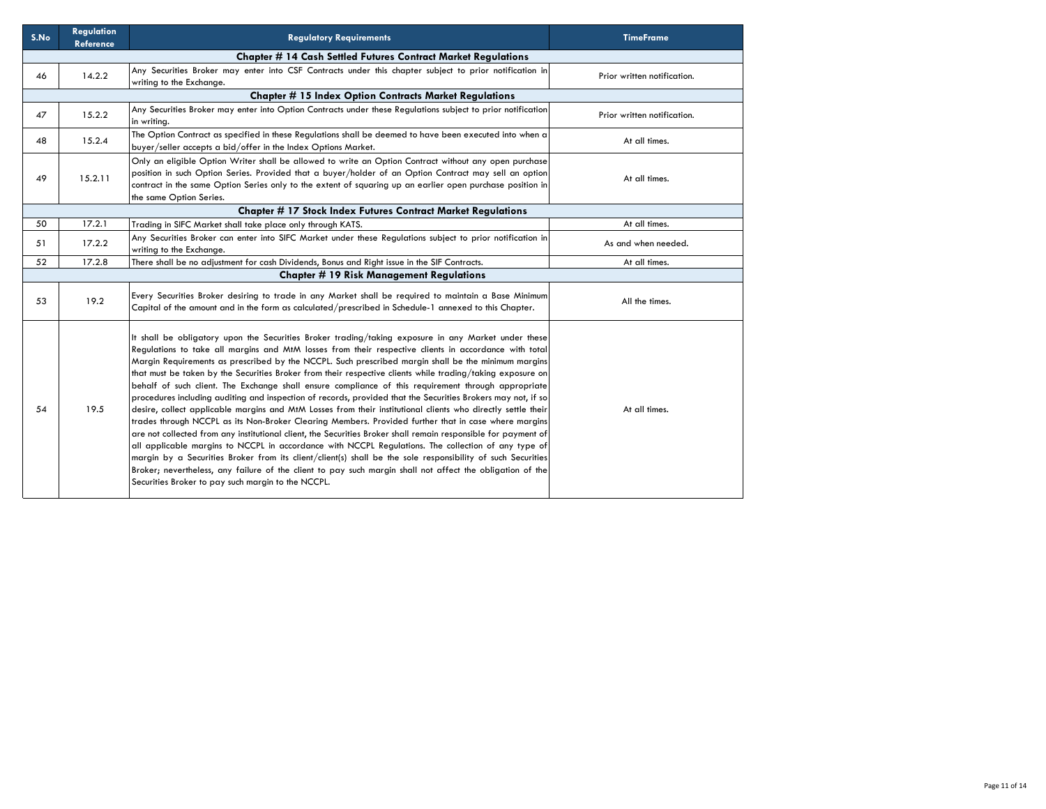| S.No | <b>Regulation</b><br><b>Reference</b> | <b>Regulatory Requirements</b>                                                                                                                                                                                                                                                                                                                                                                                                                                                                                                                                                                                                                                                                                                                                                                                                                                                                                                                                                                                                                                                                                                                                                                                                                                                                                                                                                              | <b>TimeFrame</b>            |
|------|---------------------------------------|---------------------------------------------------------------------------------------------------------------------------------------------------------------------------------------------------------------------------------------------------------------------------------------------------------------------------------------------------------------------------------------------------------------------------------------------------------------------------------------------------------------------------------------------------------------------------------------------------------------------------------------------------------------------------------------------------------------------------------------------------------------------------------------------------------------------------------------------------------------------------------------------------------------------------------------------------------------------------------------------------------------------------------------------------------------------------------------------------------------------------------------------------------------------------------------------------------------------------------------------------------------------------------------------------------------------------------------------------------------------------------------------|-----------------------------|
|      |                                       | <b>Chapter # 14 Cash Settled Futures Contract Market Regulations</b>                                                                                                                                                                                                                                                                                                                                                                                                                                                                                                                                                                                                                                                                                                                                                                                                                                                                                                                                                                                                                                                                                                                                                                                                                                                                                                                        |                             |
| 46   | 14.2.2                                | Any Securities Broker may enter into CSF Contracts under this chapter subject to prior notification in<br>writing to the Exchange.                                                                                                                                                                                                                                                                                                                                                                                                                                                                                                                                                                                                                                                                                                                                                                                                                                                                                                                                                                                                                                                                                                                                                                                                                                                          | Prior written notification. |
|      |                                       | <b>Chapter # 15 Index Option Contracts Market Regulations</b>                                                                                                                                                                                                                                                                                                                                                                                                                                                                                                                                                                                                                                                                                                                                                                                                                                                                                                                                                                                                                                                                                                                                                                                                                                                                                                                               |                             |
| 47   | 15.2.2                                | Any Securities Broker may enter into Option Contracts under these Regulations subject to prior notification<br>in writing.                                                                                                                                                                                                                                                                                                                                                                                                                                                                                                                                                                                                                                                                                                                                                                                                                                                                                                                                                                                                                                                                                                                                                                                                                                                                  | Prior written notification. |
| 48   | 15.2.4                                | The Option Contract as specified in these Regulations shall be deemed to have been executed into when a<br>buyer/seller accepts a bid/offer in the Index Options Market.                                                                                                                                                                                                                                                                                                                                                                                                                                                                                                                                                                                                                                                                                                                                                                                                                                                                                                                                                                                                                                                                                                                                                                                                                    | At all times.               |
| 49   | 15.2.11                               | Only an eligible Option Writer shall be allowed to write an Option Contract without any open purchase<br>position in such Option Series. Provided that a buyer/holder of an Option Contract may sell an option<br>contract in the same Option Series only to the extent of squaring up an earlier open purchase position in<br>the same Option Series.                                                                                                                                                                                                                                                                                                                                                                                                                                                                                                                                                                                                                                                                                                                                                                                                                                                                                                                                                                                                                                      | At all times.               |
|      |                                       | <b>Chapter # 17 Stock Index Futures Contract Market Regulations</b>                                                                                                                                                                                                                                                                                                                                                                                                                                                                                                                                                                                                                                                                                                                                                                                                                                                                                                                                                                                                                                                                                                                                                                                                                                                                                                                         |                             |
| 50   | 17.2.1                                | Trading in SIFC Market shall take place only through KATS.                                                                                                                                                                                                                                                                                                                                                                                                                                                                                                                                                                                                                                                                                                                                                                                                                                                                                                                                                                                                                                                                                                                                                                                                                                                                                                                                  | At all times.               |
| 51   | 17.2.2                                | Any Securities Broker can enter into SIFC Market under these Regulations subject to prior notification in<br>writing to the Exchange.                                                                                                                                                                                                                                                                                                                                                                                                                                                                                                                                                                                                                                                                                                                                                                                                                                                                                                                                                                                                                                                                                                                                                                                                                                                       | As and when needed.         |
| 52   | 17.2.8                                | There shall be no adjustment for cash Dividends, Bonus and Right issue in the SIF Contracts.                                                                                                                                                                                                                                                                                                                                                                                                                                                                                                                                                                                                                                                                                                                                                                                                                                                                                                                                                                                                                                                                                                                                                                                                                                                                                                | At all times.               |
|      |                                       | <b>Chapter # 19 Risk Management Regulations</b>                                                                                                                                                                                                                                                                                                                                                                                                                                                                                                                                                                                                                                                                                                                                                                                                                                                                                                                                                                                                                                                                                                                                                                                                                                                                                                                                             |                             |
| 53   | 19.2                                  | Every Securities Broker desiring to trade in any Market shall be required to maintain a Base Minimum<br>Capital of the amount and in the form as calculated/prescribed in Schedule-1 annexed to this Chapter.                                                                                                                                                                                                                                                                                                                                                                                                                                                                                                                                                                                                                                                                                                                                                                                                                                                                                                                                                                                                                                                                                                                                                                               | All the times.              |
| 54   | 19.5                                  | It shall be obligatory upon the Securities Broker trading/taking exposure in any Market under these<br>Regulations to take all margins and MtM losses from their respective clients in accordance with total<br>Margin Requirements as prescribed by the NCCPL. Such prescribed margin shall be the minimum margins<br>that must be taken by the Securities Broker from their respective clients while trading/taking exposure on<br>behalf of such client. The Exchange shall ensure compliance of this requirement through appropriate<br>procedures including auditing and inspection of records, provided that the Securities Brokers may not, if so<br>desire, collect applicable margins and MtM Losses from their institutional clients who directly settle their<br>trades through NCCPL as its Non-Broker Clearing Members. Provided further that in case where margins<br>are not collected from any institutional client, the Securities Broker shall remain responsible for payment of<br>all applicable margins to NCCPL in accordance with NCCPL Regulations. The collection of any type of<br>margin by a Securities Broker from its client/client(s) shall be the sole responsibility of such Securities<br>Broker; nevertheless, any failure of the client to pay such margin shall not affect the obligation of the<br>Securities Broker to pay such margin to the NCCPL. | At all times.               |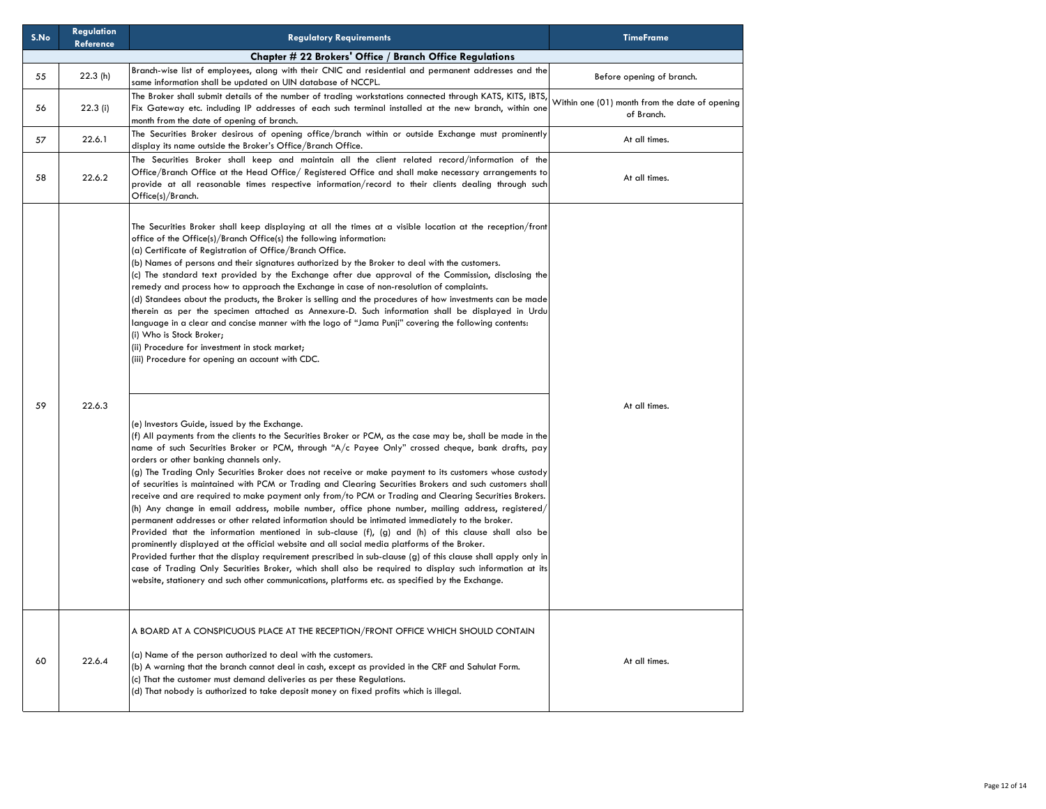| S.No | <b>Regulation</b><br><b>Reference</b> | <b>Regulatory Requirements</b>                                                                                                                                                                                                                                                                                                                                                                                                                                                                                                                                                                                                                                                                                                                                                                                                                                                                                                                                                                                                                                                                                                                                                                                                                                                                                                                                                                                                                                                                                                                                                                                                                                                                                                                                                                                                                                                                                                                                                                                                                                                                                                                                                                                                                                                                                                                                                                              | <b>TimeFrame</b>                                             |
|------|---------------------------------------|-------------------------------------------------------------------------------------------------------------------------------------------------------------------------------------------------------------------------------------------------------------------------------------------------------------------------------------------------------------------------------------------------------------------------------------------------------------------------------------------------------------------------------------------------------------------------------------------------------------------------------------------------------------------------------------------------------------------------------------------------------------------------------------------------------------------------------------------------------------------------------------------------------------------------------------------------------------------------------------------------------------------------------------------------------------------------------------------------------------------------------------------------------------------------------------------------------------------------------------------------------------------------------------------------------------------------------------------------------------------------------------------------------------------------------------------------------------------------------------------------------------------------------------------------------------------------------------------------------------------------------------------------------------------------------------------------------------------------------------------------------------------------------------------------------------------------------------------------------------------------------------------------------------------------------------------------------------------------------------------------------------------------------------------------------------------------------------------------------------------------------------------------------------------------------------------------------------------------------------------------------------------------------------------------------------------------------------------------------------------------------------------------------------|--------------------------------------------------------------|
|      |                                       | Chapter # 22 Brokers' Office / Branch Office Regulations                                                                                                                                                                                                                                                                                                                                                                                                                                                                                                                                                                                                                                                                                                                                                                                                                                                                                                                                                                                                                                                                                                                                                                                                                                                                                                                                                                                                                                                                                                                                                                                                                                                                                                                                                                                                                                                                                                                                                                                                                                                                                                                                                                                                                                                                                                                                                    |                                                              |
| 55   | 22.3(h)                               | Branch-wise list of employees, along with their CNIC and residential and permanent addresses and the<br>same information shall be updated on UIN database of NCCPL.                                                                                                                                                                                                                                                                                                                                                                                                                                                                                                                                                                                                                                                                                                                                                                                                                                                                                                                                                                                                                                                                                                                                                                                                                                                                                                                                                                                                                                                                                                                                                                                                                                                                                                                                                                                                                                                                                                                                                                                                                                                                                                                                                                                                                                         | Before opening of branch.                                    |
| 56   | 22.3(i)                               | The Broker shall submit details of the number of trading workstations connected through KATS, KITS, IBTS,<br>Fix Gateway etc. including IP addresses of each such terminal installed at the new branch, within one<br>month from the date of opening of branch.                                                                                                                                                                                                                                                                                                                                                                                                                                                                                                                                                                                                                                                                                                                                                                                                                                                                                                                                                                                                                                                                                                                                                                                                                                                                                                                                                                                                                                                                                                                                                                                                                                                                                                                                                                                                                                                                                                                                                                                                                                                                                                                                             | Within one (01) month from the date of opening<br>of Branch. |
| 57   | 22.6.1                                | The Securities Broker desirous of opening office/branch within or outside Exchange must prominently<br>display its name outside the Broker's Office/Branch Office.                                                                                                                                                                                                                                                                                                                                                                                                                                                                                                                                                                                                                                                                                                                                                                                                                                                                                                                                                                                                                                                                                                                                                                                                                                                                                                                                                                                                                                                                                                                                                                                                                                                                                                                                                                                                                                                                                                                                                                                                                                                                                                                                                                                                                                          | At all times.                                                |
| 58   | 22.6.2                                | The Securities Broker shall keep and maintain all the client related record/information of the<br>Office/Branch Office at the Head Office/ Registered Office and shall make necessary arrangements to<br>provide at all reasonable times respective information/record to their clients dealing through such<br>Office(s)/Branch.                                                                                                                                                                                                                                                                                                                                                                                                                                                                                                                                                                                                                                                                                                                                                                                                                                                                                                                                                                                                                                                                                                                                                                                                                                                                                                                                                                                                                                                                                                                                                                                                                                                                                                                                                                                                                                                                                                                                                                                                                                                                           | At all times.                                                |
| 59   | 22.6.3                                | The Securities Broker shall keep displaying at all the times at a visible location at the reception/front<br>office of the Office(s)/Branch Office(s) the following information:<br>(a) Certificate of Registration of Office/Branch Office.<br>(b) Names of persons and their signatures authorized by the Broker to deal with the customers.<br>(c) The standard text provided by the Exchange after due approval of the Commission, disclosing the<br>remedy and process how to approach the Exchange in case of non-resolution of complaints.<br>(d) Standees about the products, the Broker is selling and the procedures of how investments can be made<br>therein as per the specimen attached as Annexure-D. Such information shall be displayed in Urdu<br>language in a clear and concise manner with the logo of "Jama Punji" covering the following contents:<br>(i) Who is Stock Broker;<br>(ii) Procedure for investment in stock market;<br>(iii) Procedure for opening an account with CDC.<br>(e) Investors Guide, issued by the Exchange.<br>(f) All payments from the clients to the Securities Broker or PCM, as the case may be, shall be made in the<br>name of such Securities Broker or PCM, through "A/c Payee Only" crossed cheque, bank drafts, pay<br>orders or other banking channels only.<br>(g) The Trading Only Securities Broker does not receive or make payment to its customers whose custody<br>of securities is maintained with PCM or Trading and Clearing Securities Brokers and such customers shall<br>receive and are required to make payment only from/to PCM or Trading and Clearing Securities Brokers.<br>(h) Any change in email address, mobile number, office phone number, mailing address, registered/<br>permanent addresses or other related information should be intimated immediately to the broker.<br>Provided that the information mentioned in sub-clause $(f)$ , $(g)$ and $(h)$ of this clause shall also be<br>prominently displayed at the official website and all social media platforms of the Broker.<br>Provided further that the display requirement prescribed in sub-clause (g) of this clause shall apply only in<br>case of Trading Only Securities Broker, which shall also be required to display such information at its<br>website, stationery and such other communications, platforms etc. as specified by the Exchange. | At all times.                                                |
| 60   | 22.6.4                                | A BOARD AT A CONSPICUOUS PLACE AT THE RECEPTION/FRONT OFFICE WHICH SHOULD CONTAIN<br>(a) Name of the person authorized to deal with the customers.<br>(b) A warning that the branch cannot deal in cash, except as provided in the CRF and Sahulat Form.<br>(c) That the customer must demand deliveries as per these Regulations.<br>(d) That nobody is authorized to take deposit money on fixed profits which is illegal.                                                                                                                                                                                                                                                                                                                                                                                                                                                                                                                                                                                                                                                                                                                                                                                                                                                                                                                                                                                                                                                                                                                                                                                                                                                                                                                                                                                                                                                                                                                                                                                                                                                                                                                                                                                                                                                                                                                                                                                | At all times.                                                |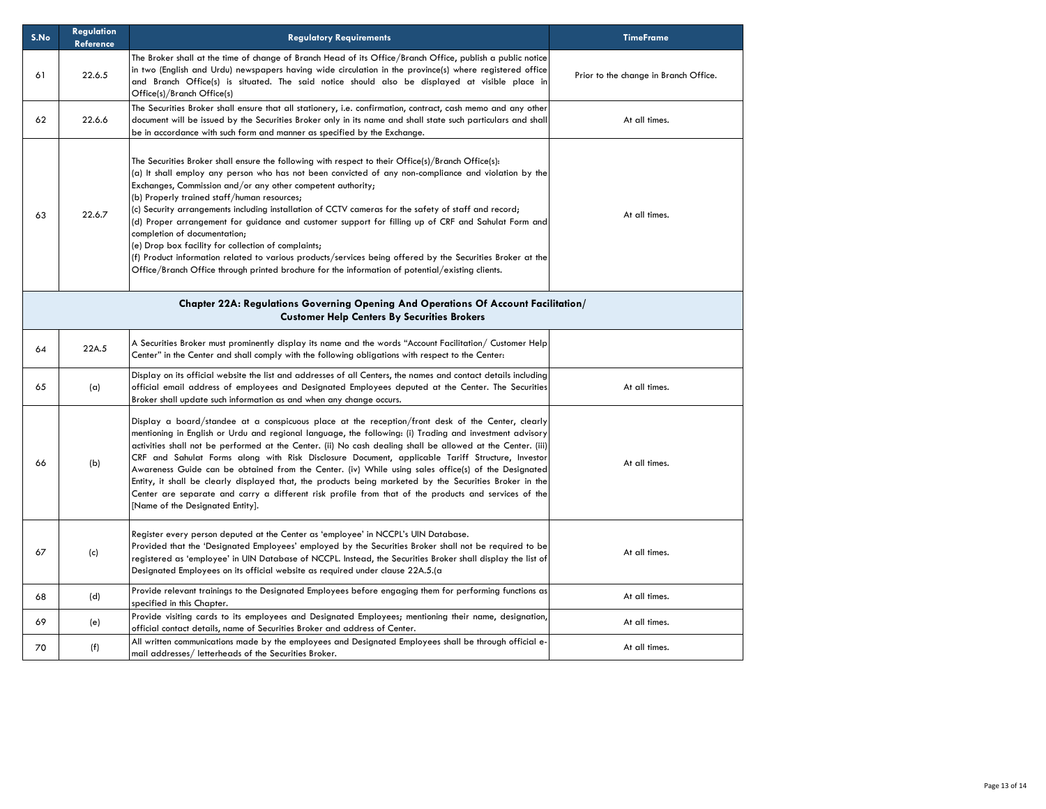| S.No | <b>Regulation</b><br><b>Reference</b> | <b>Regulatory Requirements</b>                                                                                                                                                                                                                                                                                                                                                                                                                                                                                                                                                                                                                                                                                                                                                                                                                   | <b>TimeFrame</b>                      |
|------|---------------------------------------|--------------------------------------------------------------------------------------------------------------------------------------------------------------------------------------------------------------------------------------------------------------------------------------------------------------------------------------------------------------------------------------------------------------------------------------------------------------------------------------------------------------------------------------------------------------------------------------------------------------------------------------------------------------------------------------------------------------------------------------------------------------------------------------------------------------------------------------------------|---------------------------------------|
| 61   | 22.6.5                                | The Broker shall at the time of change of Branch Head of its Office/Branch Office, publish a public notice<br>in two (English and Urdu) newspapers having wide circulation in the province(s) where registered office<br>and Branch Office(s) is situated. The said notice should also be displayed at visible place in<br>Office(s)/Branch Office(s)                                                                                                                                                                                                                                                                                                                                                                                                                                                                                            | Prior to the change in Branch Office. |
| 62   | 22.6.6                                | The Securities Broker shall ensure that all stationery, i.e. confirmation, contract, cash memo and any other<br>document will be issued by the Securities Broker only in its name and shall state such particulars and shall<br>be in accordance with such form and manner as specified by the Exchange.                                                                                                                                                                                                                                                                                                                                                                                                                                                                                                                                         | At all times.                         |
| 63   | 22.6.7                                | The Securities Broker shall ensure the following with respect to their Office(s)/Branch Office(s):<br>(a) It shall employ any person who has not been convicted of any non-compliance and violation by the<br>Exchanges, Commission and/or any other competent authority;<br>(b) Properly trained staff/human resources;<br>(c) Security arrangements including installation of CCTV cameras for the safety of staff and record;<br>(d) Proper arrangement for guidance and customer support for filling up of CRF and Sahulat Form and<br>completion of documentation;<br>(e) Drop box facility for collection of complaints;<br>(f) Product information related to various products/services being offered by the Securities Broker at the<br>Office/Branch Office through printed brochure for the information of potential/existing clients. | At all times.                         |
|      |                                       | Chapter 22A: Regulations Governing Opening And Operations Of Account Facilitation/<br><b>Customer Help Centers By Securities Brokers</b>                                                                                                                                                                                                                                                                                                                                                                                                                                                                                                                                                                                                                                                                                                         |                                       |
| 64   | 22A.5                                 | A Securities Broker must prominently display its name and the words "Account Facilitation/ Customer Help<br>Center" in the Center and shall comply with the following obligations with respect to the Center:                                                                                                                                                                                                                                                                                                                                                                                                                                                                                                                                                                                                                                    |                                       |
| 65   | (a)                                   | Display on its official website the list and addresses of all Centers, the names and contact details including<br>official email address of employees and Designated Employees deputed at the Center. The Securities<br>Broker shall update such information as and when any change occurs.                                                                                                                                                                                                                                                                                                                                                                                                                                                                                                                                                      | At all times.                         |
| 66   | (b)                                   | Display a board/standee at a conspicuous place at the reception/front desk of the Center, clearly<br>mentioning in English or Urdu and regional language, the following: (i) Trading and investment advisory<br>activities shall not be performed at the Center. (ii) No cash dealing shall be allowed at the Center. (iii)<br>CRF and Sahulat Forms along with Risk Disclosure Document, applicable Tariff Structure, Investor<br>Awareness Guide can be obtained from the Center. (iv) While using sales office(s) of the Designated<br>Entity, it shall be clearly displayed that, the products being marketed by the Securities Broker in the<br>Center are separate and carry a different risk profile from that of the products and services of the<br>[Name of the Designated Entity].                                                    | At all times.                         |
| 67   | (c)                                   | Register every person deputed at the Center as 'employee' in NCCPL's UIN Database.<br>Provided that the 'Designated Employees' employed by the Securities Broker shall not be required to be<br>registered as 'employee' in UIN Database of NCCPL. Instead, the Securities Broker shall display the list of<br>Designated Employees on its official website as required under clause 22A.5.(a                                                                                                                                                                                                                                                                                                                                                                                                                                                    | At all times.                         |
| 68   | (d)                                   | Provide relevant trainings to the Designated Employees before engaging them for performing functions as<br>specified in this Chapter.                                                                                                                                                                                                                                                                                                                                                                                                                                                                                                                                                                                                                                                                                                            | At all times.                         |
| 69   | (e)                                   | Provide visiting cards to its employees and Designated Employees; mentioning their name, designation,<br>official contact details, name of Securities Broker and address of Center.                                                                                                                                                                                                                                                                                                                                                                                                                                                                                                                                                                                                                                                              | At all times.                         |
| 70   | (f)                                   | All written communications made by the employees and Designated Employees shall be through official e-<br>mail addresses/ letterheads of the Securities Broker.                                                                                                                                                                                                                                                                                                                                                                                                                                                                                                                                                                                                                                                                                  | At all times.                         |